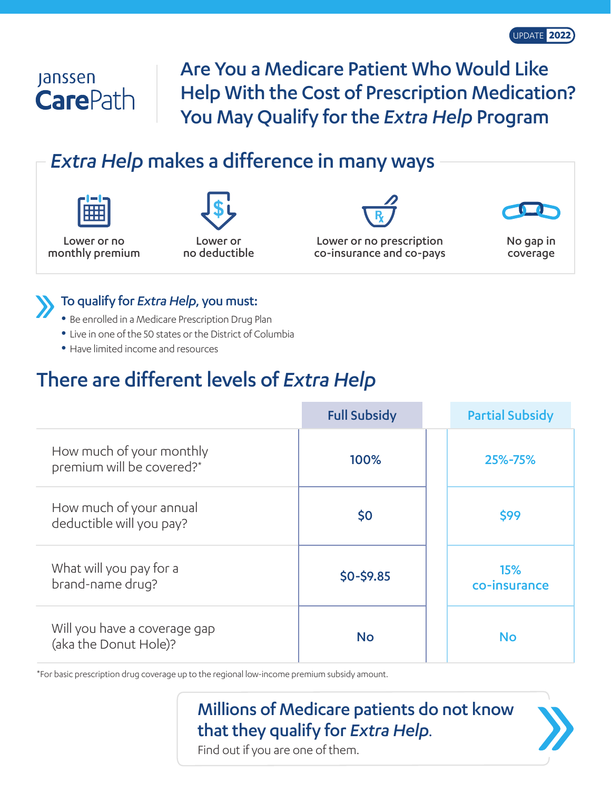## **Janssen CarePath**

Are You a Medicare Patient Who Would Like Help With the Cost of Prescription Medication? You May Qualify for the *Extra Help* Program

## *Extra Help* makes a difference in many ways

Lower or no monthly premium



no deductible

Lower or no prescription co-insurance and co-pays



No gap in coverage



### To qualify for *Extra Help*, you must:

- Be enrolled in a Medicare Prescription Drug Plan
- Live in one of the 50 states or the District of Columbia
- Have limited income and resources

## There are different levels of *Extra Help*

|                                                       | <b>Full Subsidy</b> | <b>Partial Subsidy</b>     |
|-------------------------------------------------------|---------------------|----------------------------|
| How much of your monthly<br>premium will be covered?* | 100%                | 25%-75%                    |
| How much of your annual<br>deductible will you pay?   | \$0                 | \$99                       |
| What will you pay for a<br>brand-name drug?           | $$0 - $9.85$        | <b>15%</b><br>co-insurance |
| Will you have a coverage gap<br>(aka the Donut Hole)? | <b>No</b>           | <b>No</b>                  |

\*For basic prescription drug coverage up to the regional low-income premium subsidy amount.

# Millions of Medicare patients do not know **that they qualify for** *Extra Help*.<br>Find out if you are one of them.